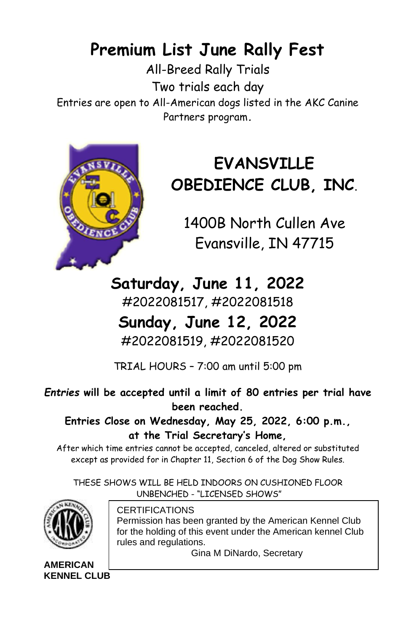# **Premium List June Rally Fest**

All-Breed Rally Trials

Two trials each day

Entries are open to All-American dogs listed in the AKC Canine Partners program*.*



# **EVANSVILLE OBEDIENCE CLUB, INC**.

1400B North Cullen Ave Evansville, IN 47715

**Saturday, June 11, 2022** #2022081517, #2022081518 **Sunday, June 12, 2022** #2022081519, #2022081520

TRIAL HOURS – 7:00 am until 5:00 pm

*Entries* **will be accepted until a limit of 80 entries per trial have been reached.**

**Entries Close on Wednesday, May 25, 2022, 6:00 p.m., at the Trial Secretary's Home,**

After which time entries cannot be accepted, canceled, altered or substituted except as provided for in Chapter 11, Section 6 of the Dog Show Rules.

THESE SHOWS WILL BE HELD INDOORS ON CUSHIONED FLOOR UNBENCHED - "LICENSED SHOWS"



### CERTIFICATIONS

Permission has been granted by the American Kennel Club for the holding of this event under the American kennel Club rules and regulations.

Gina M DiNardo, Secretary

**AMERICAN KENNEL CLUB**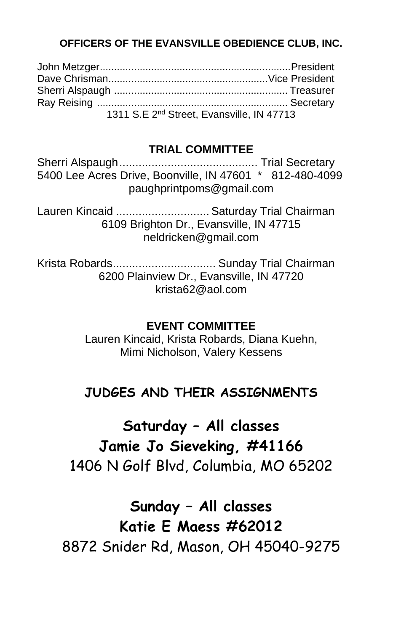## **OFFICERS OF THE EVANSVILLE OBEDIENCE CLUB, INC.**

| 1311 S.E 2 <sup>nd</sup> Street, Evansville, IN 47713 |  |  |  |
|-------------------------------------------------------|--|--|--|

## **TRIAL COMMITTEE**

Sherri Alspaugh........................................... Trial Secretary 5400 Lee Acres Drive, Boonville, IN 47601 \* 812-480-4099 paughprintpoms@gmail.com

Lauren Kincaid ............................. Saturday Trial Chairman 6109 Brighton Dr., Evansville, IN 47715 neldricken@gmail.com

Krista Robards................................ Sunday Trial Chairman 6200 Plainview Dr., Evansville, IN 47720 krista62@aol.com

## **EVENT COMMITTEE**

Lauren Kincaid, Krista Robards, Diana Kuehn, Mimi Nicholson, Valery Kessens

## **JUDGES AND THEIR ASSIGNMENTS**

# **Saturday – All classes Jamie Jo Sieveking, #41166** 1406 N Golf Blvd, Columbia, MO 65202

**Sunday – All classes Katie E Maess #62012** 8872 Snider Rd, Mason, OH 45040-9275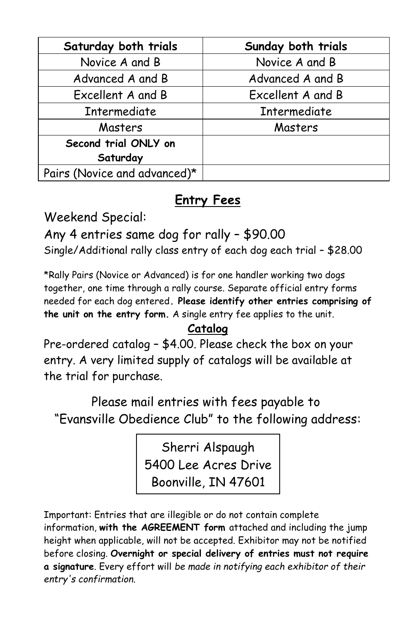| Saturday both trials         | Sunday both trials |
|------------------------------|--------------------|
| Novice A and B               | Novice A and B     |
| Advanced A and B             | Advanced A and B   |
| Excellent A and B            | Excellent A and B  |
| Intermediate                 | Intermediate       |
| Masters                      | Masters            |
| Second trial ONLY on         |                    |
| Saturday                     |                    |
| Pairs (Novice and advanced)* |                    |

## **Entry Fees**

Weekend Special:

Any 4 entries same dog for rally – \$90.00 Single/Additional rally class entry of each dog each trial – \$28.00

\*Rally Pairs (Novice or Advanced) is for one handler working two dogs together, one time through a rally course. Separate official entry forms needed for each dog entered**. Please identify other entries comprising of the unit on the entry form.** A single entry fee applies to the unit.

## **Catalog**

Pre-ordered catalog – \$4.00. Please check the box on your entry. A very limited supply of catalogs will be available at the trial for purchase.

Please mail entries with fees payable to "Evansville Obedience Club" to the following address:

> Sherri Alspaugh 5400 Lee Acres Drive Boonville, IN 47601

Important: Entries that are illegible or do not contain complete information, **with the AGREEMENT form** attached and including the jump height when applicable, will not be accepted. Exhibitor may not be notified before closing. **Overnight or special delivery of entries must not require a signature**. Every effort will *be made in notifying each exhibitor of their entry's confirmation.*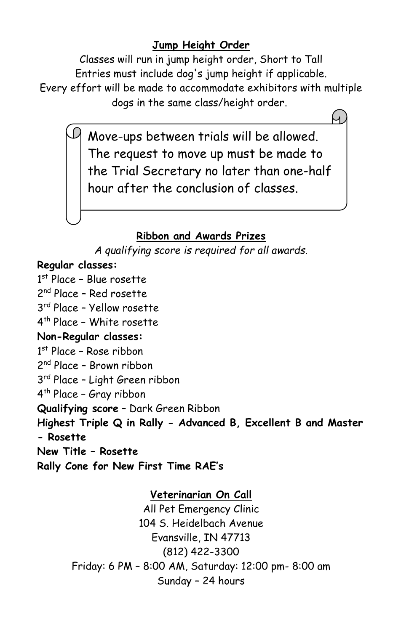## **Jump Height Order**

Classes will run in jump height order, Short to Tall Entries must include dog's jump height if applicable. Every effort will be made to accommodate exhibitors with multiple dogs in the same class/height order.

> **zmobri** the Trial Secretary no later than one-half Move-ups between trials will be allowed. The request to move up must be made to hour after the conclusion of classes.

## **Ribbon and Awards Prizes**

*A qualifying score is required for all awards.*

## **Regular classes:**

1 st Place – Blue rosette

2 nd Place – Red rosette

3 rd Place – Yellow rosette

4 th Place – White rosette

## **Non-Regular classes:**

1 st Place – Rose ribbon

2 nd Place – Brown ribbon

3 rd Place – Light Green ribbon

4<sup>th</sup> Place - Gray ribbon

**Qualifying score** – Dark Green Ribbon

**Highest Triple Q in Rally - Advanced B, Excellent B and Master**

**- Rosette**

**New Title – Rosette**

**Rally Cone for New First Time RAE's**

## **Veterinarian On Call**

All Pet Emergency Clinic 104 S. Heidelbach Avenue Evansville, IN 47713 (812) 422-3300 Friday: 6 PM – 8:00 AM, Saturday: 12:00 pm- 8:00 am Sunday – 24 hours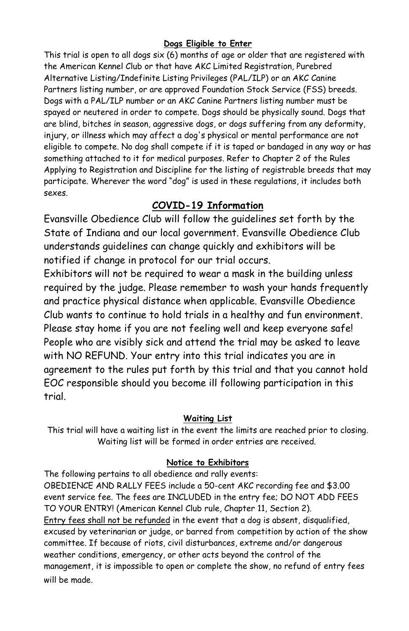### **Dogs Eligible to Enter**

This trial is open to all dogs six (6) months of age or older that are registered with the American Kennel Club or that have AKC Limited Registration, Purebred Alternative Listing/Indefinite Listing Privileges (PAL/ILP) or an AKC Canine Partners listing number, or are approved Foundation Stock Service (FSS) breeds. Dogs with a PAL/ILP number or an AKC Canine Partners listing number must be spayed or neutered in order to compete. Dogs should be physically sound. Dogs that are blind, bitches in season, aggressive dogs, or dogs suffering from any deformity, injury, or illness which may affect a dog's physical or mental performance are not eligible to compete. No dog shall compete if it is taped or bandaged in any way or has something attached to it for medical purposes. Refer to Chapter 2 of the Rules Applying to Registration and Discipline for the listing of registrable breeds that may participate. Wherever the word "dog" is used in these regulations, it includes both sexes.

## **COVID-19 Information**

Evansville Obedience Club will follow the guidelines set forth by the State of Indiana and our local government. Evansville Obedience Club understands guidelines can change quickly and exhibitors will be notified if change in protocol for our trial occurs.

Exhibitors will not be required to wear a mask in the building unless required by the judge. Please remember to wash your hands frequently and practice physical distance when applicable. Evansville Obedience Club wants to continue to hold trials in a healthy and fun environment. Please stay home if you are not feeling well and keep everyone safe! People who are visibly sick and attend the trial may be asked to leave with NO REFUND. Your entry into this trial indicates you are in agreement to the rules put forth by this trial and that you cannot hold EOC responsible should you become ill following participation in this trial.

#### **Waiting List**

This trial will have a waiting list in the event the limits are reached prior to closing. Waiting list will be formed in order entries are received.

### **Notice to Exhibitors**

The following pertains to all obedience and rally events: OBEDIENCE AND RALLY FEES include a 50-cent AKC recording fee and \$3.00 event service fee. The fees are INCLUDED in the entry fee; DO NOT ADD FEES TO YOUR ENTRY! (American Kennel Club rule, Chapter 11, Section 2). Entry fees shall not be refunded in the event that a dog is absent, disqualified, excused by veterinarian or judge, or barred from competition by action of the show committee. If because of riots, civil disturbances, extreme and/or dangerous weather conditions, emergency, or other acts beyond the control of the management, it is impossible to open or complete the show, no refund of entry fees will be made.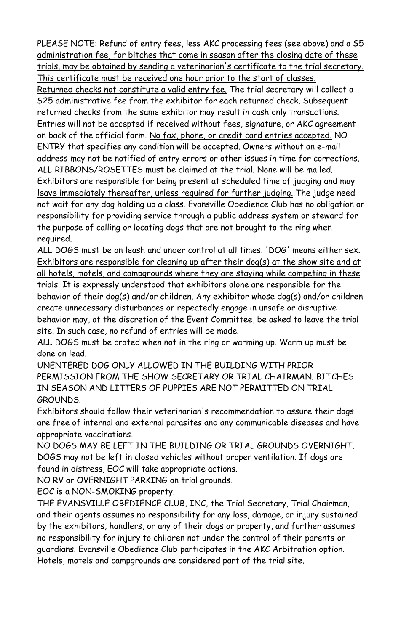PLEASE NOTE: Refund of entry fees, less AKC processing fees (see above) and a \$5 administration fee, for bitches that come in season after the closing date of these trials, may be obtained by sending a veterinarian's certificate to the trial secretary. This certificate must be received one hour prior to the start of classes. Returned checks not constitute a valid entry fee. The trial secretary will collect a \$25 administrative fee from the exhibitor for each returned check. Subsequent returned checks from the same exhibitor may result in cash only transactions. Entries will not be accepted if received without fees, signature, or AKC agreement on back of the official form. No fax, phone, or credit card entries accepted. NO ENTRY that specifies any condition will be accepted. Owners without an e-mail address may not be notified of entry errors or other issues in time for corrections. ALL RIBBONS/ROSETTES must be claimed at the trial. None will be mailed. Exhibitors are responsible for being present at scheduled time of judging and may leave immediately thereafter, unless required for further judging. The judge need not wait for any dog holding up a class. Evansville Obedience Club has no obligation or responsibility for providing service through a public address system or steward for the purpose of calling or locating dogs that are not brought to the ring when required.

ALL DOGS must be on leash and under control at all times. 'DOG' means either sex. Exhibitors are responsible for cleaning up after their dog(s) at the show site and at all hotels, motels, and campgrounds where they are staying while competing in these trials. It is expressly understood that exhibitors alone are responsible for the behavior of their dog(s) and/or children. Any exhibitor whose dog(s) and/or children create unnecessary disturbances or repeatedly engage in unsafe or disruptive behavior may, at the discretion of the Event Committee, be asked to leave the trial site. In such case, no refund of entries will be made.

ALL DOGS must be crated when not in the ring or warming up. Warm up must be done on lead.

UNENTERED DOG ONLY ALLOWED IN THE BUILDING WITH PRIOR PERMISSION FROM THE SHOW SECRETARY OR TRIAL CHAIRMAN. BITCHES IN SEASON AND LITTERS OF PUPPIES ARE NOT PERMITTED ON TRIAL GROUNDS.

Exhibitors should follow their veterinarian's recommendation to assure their dogs are free of internal and external parasites and any communicable diseases and have appropriate vaccinations.

NO DOGS MAY BE LEFT IN THE BUILDING OR TRIAL GROUNDS OVERNIGHT. DOGS may not be left in closed vehicles without proper ventilation. If dogs are found in distress, EOC will take appropriate actions.

NO RV or OVERNIGHT PARKING on trial grounds.

EOC is a NON-SMOKING property.

THE EVANSVILLE OBEDIENCE CLUB, INC, the Trial Secretary, Trial Chairman, and their agents assumes no responsibility for any loss, damage, or injury sustained by the exhibitors, handlers, or any of their dogs or property, and further assumes no responsibility for injury to children not under the control of their parents or guardians. Evansville Obedience Club participates in the AKC Arbitration option. Hotels, motels and campgrounds are considered part of the trial site.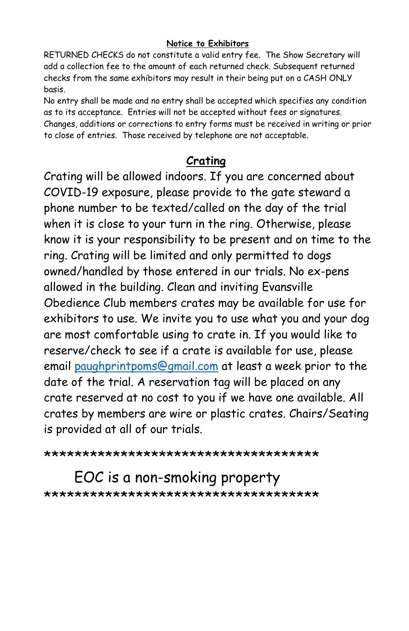#### **Notice to Exhibitors**

RETURNED CHECKS do not constitute a valid entry fee. The Show Secretary will add a collection fee to the amount of each returned check. Subsequent returned checks from the same exhibitors may result in their being put on a CASH ONLY basis.

No entry shall be made and no entry shall be accepted which specifies any condition as to its acceptance. Entries will not be accepted without fees or signatures. Changes, additions or corrections to entry forms must be received in writing or prior to close of entries. Those received by telephone are not acceptable.

## **Crating**

Crating will be allowed indoors. If you are concerned about COVID-19 exposure, please provide to the gate steward a phone number to be texted/called on the day of the trial when it is close to your turn in the ring. Otherwise, please know it is your responsibility to be present and on time to the ring. Crating will be limited and only permitted to dogs owned/handled by those entered in our trials. No ex-pens allowed in the building. Clean and inviting Evansville Obedience Club members crates may be available for use for exhibitors to use. We invite you to use what you and your dog are most comfortable using to crate in. If you would like to reserve/check to see if a crate is available for use, please email [paughprintpoms@gmail.com](mailto:paughprintpoms@gmail.com) at least a week prior to the date of the trial. A reservation tag will be placed on any crate reserved at no cost to you if we have one available. All crates by members are wire or plastic crates. Chairs/Seating is provided at all of our trials.

\*\*\*\*\*\*\*\*\*\*\*\*\*\*\*\*\*\*\*\*\*\*\*\*\*\*\*\*\*\*\*\*\*\*\*\*

 EOC is a non-smoking property \*\*\*\*\*\*\*\*\*\*\*\*\*\*\*\*\*\*\*\*\*\*\*\*\*\*\*\*\*\*\*\*\*\*\*\*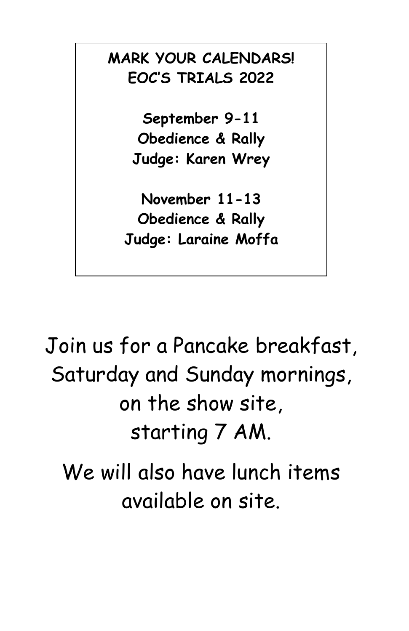**MARK YOUR CALENDARS! EOC'S TRIALS 2022**

> **September 9-11 Obedience & Rally Judge: Karen Wrey**

**November 11-13 Obedience & Rally Judge: Laraine Moffa**

Join us for a Pancake breakfast, Saturday and Sunday mornings, on the show site, starting 7 AM.

We will also have lunch items available on site.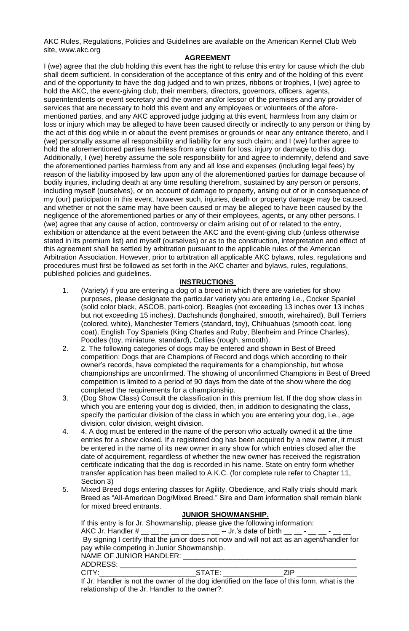AKC Rules, Regulations, Policies and Guidelines are available on the American Kennel Club Web site, www.akc.org

#### **AGREEMENT**

I (we) agree that the club holding this event has the right to refuse this entry for cause which the club shall deem sufficient. In consideration of the acceptance of this entry and of the holding of this event and of the opportunity to have the dog judged and to win prizes, ribbons or trophies, I (we) agree to hold the AKC, the event-giving club, their members, directors, governors, officers, agents, superintendents or event secretary and the owner and/or lessor of the premises and any provider of services that are necessary to hold this event and any employees or volunteers of the aforementioned parties, and any AKC approved judge judging at this event, harmless from any claim or loss or injury which may be alleged to have been caused directly or indirectly to any person or thing by the act of this dog while in or about the event premises or grounds or near any entrance thereto, and I (we) personally assume all responsibility and liability for any such claim; and I (we) further agree to hold the aforementioned parties harmless from any claim for loss, injury or damage to this dog. Additionally, I (we) hereby assume the sole responsibility for and agree to indemnify, defend and save the aforementioned parties harmless from any and all lose and expenses (including legal fees) by reason of the liability imposed by law upon any of the aforementioned parties for damage because of bodily injuries, including death at any time resulting therefrom, sustained by any person or persons, including myself (ourselves), or on account of damage to property, arising out of or in consequence of my (our) participation in this event, however such, injuries, death or property damage may be caused, and whether or not the same may have been caused or may be alleged to have been caused by the negligence of the aforementioned parties or any of their employees, agents, or any other persons. I (we) agree that any cause of action, controversy or claim arising out of or related to the entry, exhibition or attendance at the event between the AKC and the event-giving club (unless otherwise stated in its premium list) and myself (ourselves) or as to the construction, interpretation and effect of this agreement shall be settled by arbitration pursuant to the applicable rules of the American Arbitration Association. However, prior to arbitration all applicable AKC bylaws, rules, regulations and procedures must first be followed as set forth in the AKC charter and bylaws, rules, regulations, published policies and guidelines.

#### **INSTRUCTIONS**

- 1. (Variety) if you are entering a dog of a breed in which there are varieties for show purposes, please designate the particular variety you are entering i.e., Cocker Spaniel (solid color black, ASCOB, parti-color). Beagles (not exceeding 13 inches over 13 inches but not exceeding 15 inches). Dachshunds (longhaired, smooth, wirehaired), Bull Terriers (colored, white), Manchester Terriers (standard, toy), Chihuahuas (smooth coat, long coat), English Toy Spaniels (King Charles and Ruby, Blenheim and Prince Charles), Poodles (toy, miniature, standard), Collies (rough, smooth).
- 2. 2. The following categories of dogs may be entered and shown in Best of Breed competition: Dogs that are Champions of Record and dogs which according to their owner's records, have completed the requirements for a championship, but whose championships are unconfirmed. The showing of unconfirmed Champions in Best of Breed competition is limited to a period of 90 days from the date of the show where the dog completed the requirements for a championship.
- 3. (Dog Show Class) Consult the classification in this premium list. If the dog show class in which you are entering your dog is divided, then, in addition to designating the class, specify the particular division of the class in which you are entering your dog, i.e., age division, color division, weight division.
- 4. 4. A dog must be entered in the name of the person who actually owned it at the time entries for a show closed. If a registered dog has been acquired by a new owner, it must be entered in the name of its new owner in any show for which entries closed after the date of acquirement, regardless of whether the new owner has received the registration certificate indicating that the dog is recorded in his name. State on entry form whether transfer application has been mailed to A.K.C. (for complete rule refer to Chapter 11, Section 3)
- 5. Mixed Breed dogs entering classes for Agility, Obedience, and Rally trials should mark Breed as "All-American Dog/Mixed Breed." Sire and Dam information shall remain blank for mixed breed entrants.

#### **JUNIOR SHOWMANSHIP.**

If this entry is for Jr. Showmanship, please give the following information: AKC Jr. Handler  $\#$  \_\_ \_\_ \_\_ \_\_ \_\_ \_\_ \_\_ - Jr.'s date of birth \_\_ \_\_ - \_\_ . By signing I certify that the junior does not now and will not act as an agent/handler for pay while competing in Junior Showmanship. NAME OF JUNIOR HANDLER:

| ADDRESS:                                                                                    |        |     |  |
|---------------------------------------------------------------------------------------------|--------|-----|--|
| CITY:                                                                                       | STATE: | 7IP |  |
| If Jr. Handler is not the owner of the dog identified on the face of this form, what is the |        |     |  |
| relationship of the Jr. Handler to the owner?:                                              |        |     |  |